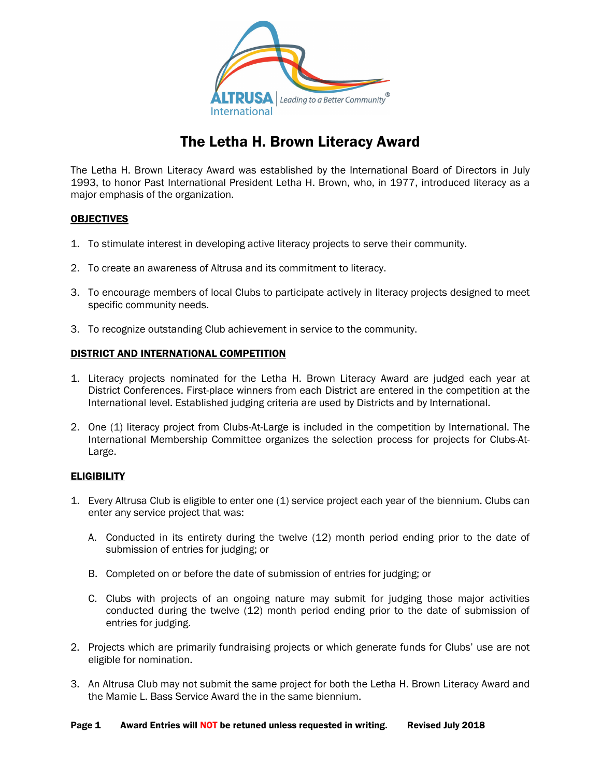

### The Letha H. Brown Literacy Award

The Letha H. Brown Literacy Award was established by the International Board of Directors in July 1993, to honor Past International President Letha H. Brown, who, in 1977, introduced literacy as a major emphasis of the organization.

### **OBJECTIVES**

- 1. To stimulate interest in developing active literacy projects to serve their community.
- 2. To create an awareness of Altrusa and its commitment to literacy.
- 3. To encourage members of local Clubs to participate actively in literacy projects designed to meet specific community needs.
- 3. To recognize outstanding Club achievement in service to the community.

### DISTRICT AND INTERNATIONAL COMPETITION

- 1. Literacy projects nominated for the Letha H. Brown Literacy Award are judged each year at District Conferences. First-place winners from each District are entered in the competition at the International level. Established judging criteria are used by Districts and by International.
- 2. One (1) literacy project from Clubs-At-Large is included in the competition by International. The International Membership Committee organizes the selection process for projects for Clubs-At-Large.

### **ELIGIBILITY**

- 1. Every Altrusa Club is eligible to enter one (1) service project each year of the biennium. Clubs can enter any service project that was:
	- A. Conducted in its entirety during the twelve (12) month period ending prior to the date of submission of entries for judging; or
	- B. Completed on or before the date of submission of entries for judging; or
	- C. Clubs with projects of an ongoing nature may submit for judging those major activities conducted during the twelve (12) month period ending prior to the date of submission of entries for judging.
- 2. Projects which are primarily fundraising projects or which generate funds for Clubs' use are not eligible for nomination.
- 3. An Altrusa Club may not submit the same project for both the Letha H. Brown Literacy Award and the Mamie L. Bass Service Award the in the same biennium.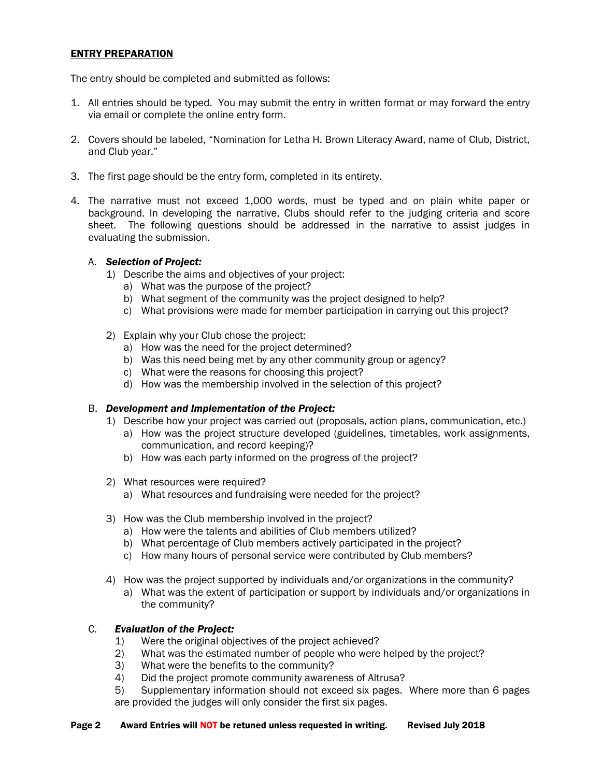### ENTRY PREPARATION

The entry should be completed and submitted as follows:

- 1. All entries should be typed. You may submit the entry in written format or may forward the entry via email or complete the online entry form.
- 2. Covers should be labeled, "Nomination for Letha H. Brown Literacy Award, name of Club, District, and Club year."
- 3. The first page should be the entry form, completed in its entirety.
- 4. The narrative must not exceed 1,000 words, must be typed and on plain white paper or background. In developing the narrative, Clubs should refer to the judging criteria and score sheet. The following questions should be addressed in the narrative to assist judges in evaluating the submission.

### A. *Selection of Project:*

- 1) Describe the aims and objectives of your project:
	- a) What was the purpose of the project?
	- b) What segment of the community was the project designed to help?
	- c) What provisions were made for member participation in carrying out this project?
- 2) Explain why your Club chose the project:
	- a) How was the need for the project determined?
	- b) Was this need being met by any other community group or agency?
	- c) What were the reasons for choosing this project?
	- d) How was the membership involved in the selection of this project?

#### B. *Development and Implementation of the Project:*

- 1) Describe how your project was carried out (proposals, action plans, communication, etc.)
	- a) How was the project structure developed (guidelines, timetables, work assignments, communication, and record keeping)?
	- b) How was each party informed on the progress of the project?
- 2) What resources were required?
	- a) What resources and fundraising were needed for the project?
- 3) How was the Club membership involved in the project?
	- a) How were the talents and abilities of Club members utilized?
	- b) What percentage of Club members actively participated in the project?
	- c) How many hours of personal service were contributed by Club members?
- 4) How was the project supported by individuals and/or organizations in the community?
	- a) What was the extent of participation or support by individuals and/or organizations in the community?

### C*. Evaluation of the Project:*

- 1) Were the original objectives of the project achieved?
- 2) What was the estimated number of people who were helped by the project?
- 3) What were the benefits to the community?
- 4) Did the project promote community awareness of Altrusa?
- 5) Supplementary information should not exceed six pages. Where more than 6 pages are provided the judges will only consider the first six pages.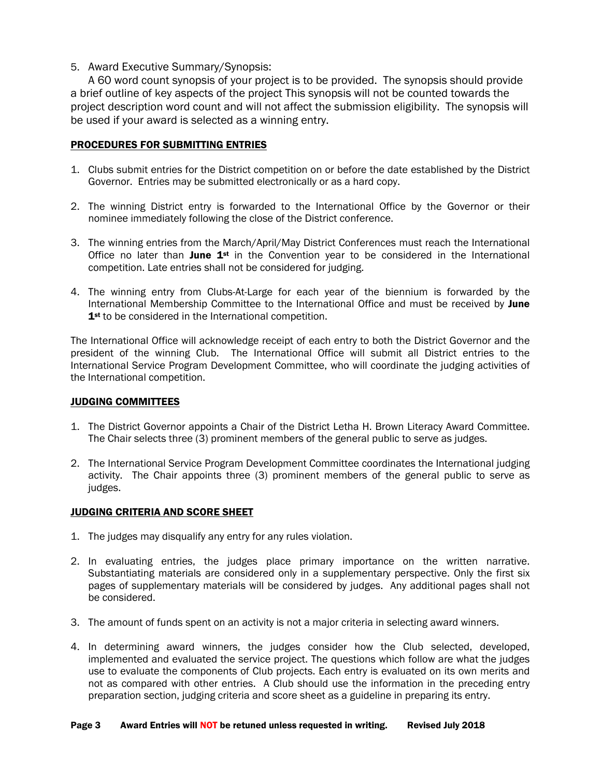### 5. Award Executive Summary/Synopsis:

A 60 word count synopsis of your project is to be provided. The synopsis should provide a brief outline of key aspects of the project This synopsis will not be counted towards the project description word count and will not affect the submission eligibility. The synopsis will be used if your award is selected as a winning entry.

### PROCEDURES FOR SUBMITTING ENTRIES

- 1. Clubs submit entries for the District competition on or before the date established by the District Governor. Entries may be submitted electronically or as a hard copy.
- 2. The winning District entry is forwarded to the International Office by the Governor or their nominee immediately following the close of the District conference.
- 3. The winning entries from the March/April/May District Conferences must reach the International Office no later than June  $1^{st}$  in the Convention year to be considered in the International competition. Late entries shall not be considered for judging.
- 4. The winning entry from Clubs-At-Large for each year of the biennium is forwarded by the International Membership Committee to the International Office and must be received by June 1<sup>st</sup> to be considered in the International competition.

The International Office will acknowledge receipt of each entry to both the District Governor and the president of the winning Club. The International Office will submit all District entries to the International Service Program Development Committee, who will coordinate the judging activities of the International competition.

### JUDGING COMMITTEES

- 1. The District Governor appoints a Chair of the District Letha H. Brown Literacy Award Committee. The Chair selects three (3) prominent members of the general public to serve as judges.
- 2. The International Service Program Development Committee coordinates the International judging activity. The Chair appoints three (3) prominent members of the general public to serve as judges.

### JUDGING CRITERIA AND SCORE SHEET

- 1. The judges may disqualify any entry for any rules violation.
- 2. In evaluating entries, the judges place primary importance on the written narrative. Substantiating materials are considered only in a supplementary perspective. Only the first six pages of supplementary materials will be considered by judges. Any additional pages shall not be considered.
- 3. The amount of funds spent on an activity is not a major criteria in selecting award winners.
- 4. In determining award winners, the judges consider how the Club selected, developed, implemented and evaluated the service project. The questions which follow are what the judges use to evaluate the components of Club projects. Each entry is evaluated on its own merits and not as compared with other entries. A Club should use the information in the preceding entry preparation section, judging criteria and score sheet as a guideline in preparing its entry.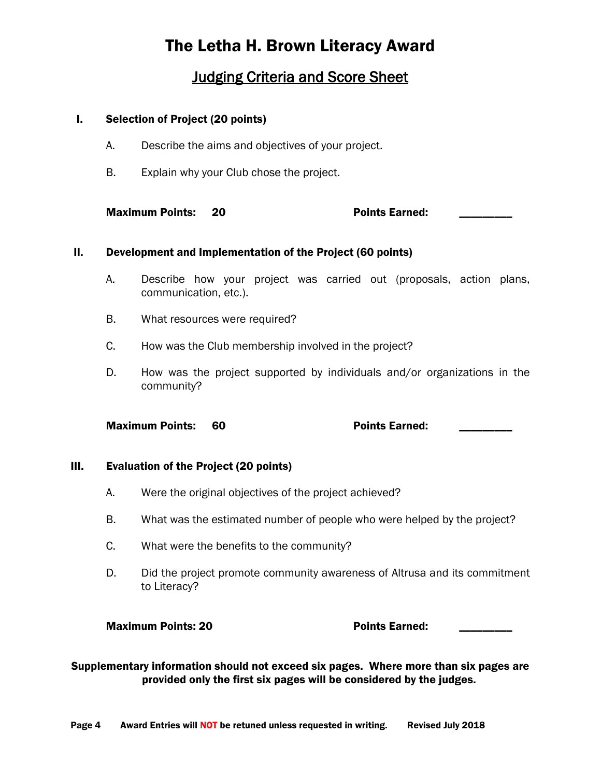# The Letha H. Brown Literacy Award

### **Judging Criteria and Score Sheet**

### I. Selection of Project (20 points)

- A. Describe the aims and objectives of your project.
- B. Explain why your Club chose the project.

Maximum Points: 20 Points Earned:

### II. Development and Implementation of the Project (60 points)

- A. Describe how your project was carried out (proposals, action plans, communication, etc.).
- B. What resources were required?
- C. How was the Club membership involved in the project?
- D. How was the project supported by individuals and/or organizations in the community?

Maximum Points: 60 Points Earned:

### III. Evaluation of the Project (20 points)

- A. Were the original objectives of the project achieved?
- B. What was the estimated number of people who were helped by the project?
- C. What were the benefits to the community?
- D. Did the project promote community awareness of Altrusa and its commitment to Literacy?

### Maximum Points: 20 **Points** Earned:

Supplementary information should not exceed six pages. Where more than six pages are provided only the first six pages will be considered by the judges.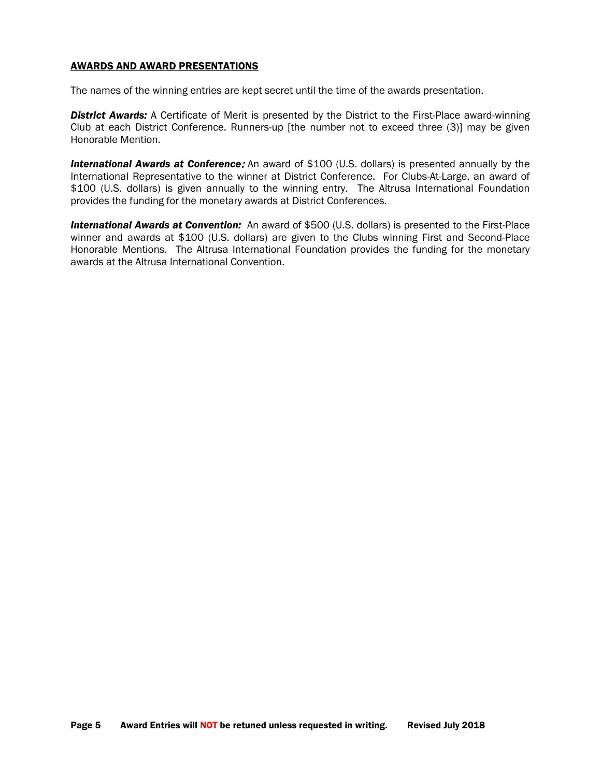#### AWARDS AND AWARD PRESENTATIONS

The names of the winning entries are kept secret until the time of the awards presentation.

*District Awards:* A Certificate of Merit is presented by the District to the First-Place award-winning Club at each District Conference. Runners-up [the number not to exceed three (3)] may be given Honorable Mention.

*International Awards at Conference*: An award of \$100 (U.S. dollars) is presented annually by the International Representative to the winner at District Conference. For Clubs-At-Large, an award of \$100 (U.S. dollars) is given annually to the winning entry. The Altrusa International Foundation provides the funding for the monetary awards at District Conferences.

*International Awards at Convention:* An award of \$500 (U.S. dollars) is presented to the First-Place winner and awards at \$100 (U.S. dollars) are given to the Clubs winning First and Second-Place Honorable Mentions. The Altrusa International Foundation provides the funding for the monetary awards at the Altrusa International Convention.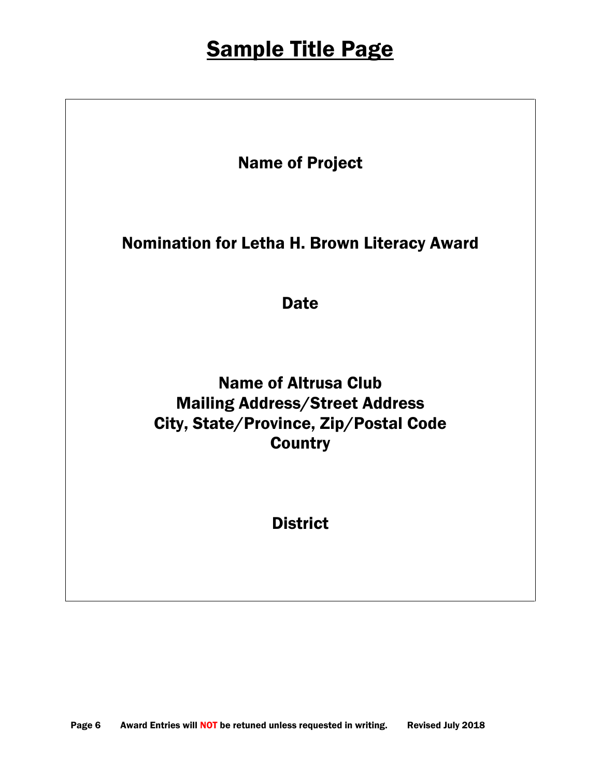# **Sample Title Page**

Name of Project

Nomination for Letha H. Brown Literacy Award

**Date** 

Name of Altrusa Club Mailing Address/Street Address City, State/Province, Zip/Postal Code **Country** 

**District**